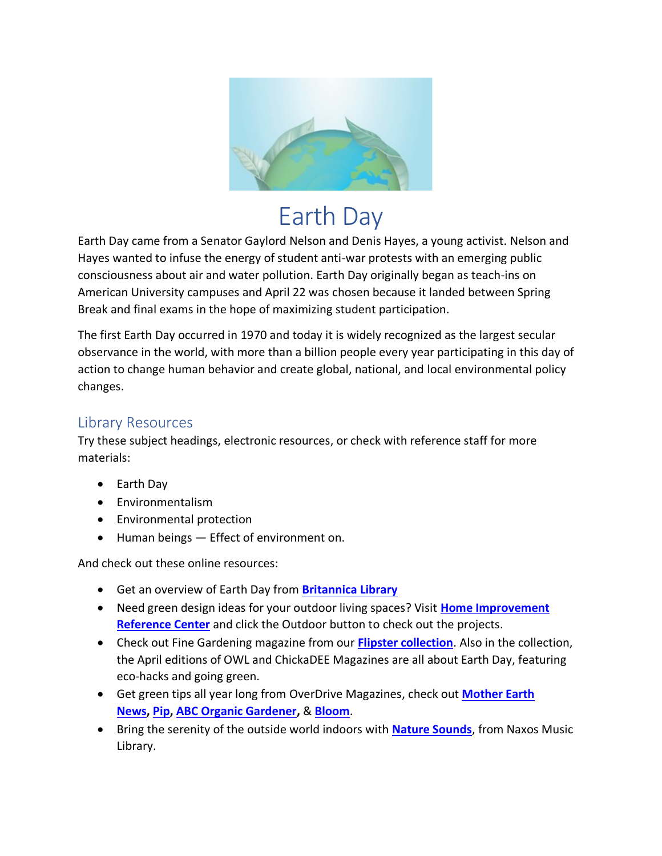

# Earth Day

Earth Day came from a Senator Gaylord Nelson and Denis Hayes, a young activist. Nelson and Hayes wanted to infuse the energy of student anti-war protests with an emerging public consciousness about air and water pollution. Earth Day originally began as teach-ins on American University campuses and April 22 was chosen because it landed between Spring Break and final exams in the hope of maximizing student participation.

The first Earth Day occurred in 1970 and today it is widely recognized as the largest secular observance in the world, with more than a billion people every year participating in this day of action to change human behavior and create global, national, and local environmental policy changes.

## Library Resources

Try these subject headings, electronic resources, or check with reference staff for more materials:

- Earth Day
- Environmentalism
- Environmental protection
- Human beings Effect of environment on.

And check out these online resources:

- Get an overview of Earth Day from **[Britannica Library](https://library-eb-com.ezproxy.orl.bc.ca:2443/levels/referencecenter/article/Earth-Day/442790)**
- Need green design ideas for your outdoor living spaces? Visit **[Home Improvement](https://ezproxy.orl.bc.ca:2443/login?url=http://search.ebscohost.com/login.aspx?authtype=url,ip,cookie&profile=hirc)  [Reference Center](https://ezproxy.orl.bc.ca:2443/login?url=http://search.ebscohost.com/login.aspx?authtype=url,ip,cookie&profile=hirc)** and click the Outdoor button to check out the projects.
- Check out Fine Gardening magazine from our **[Flipster collection](https://www.orl.bc.ca/elibrary/emagazines-enewspapers/flipster-magazines)**. Also in the collection, the April editions of OWL and ChickaDEE Magazines are all about Earth Day, featuring eco-hacks and going green.
- Get green tips all year long from OverDrive Magazines, check out **[Mother Earth](https://orl.overdrive.com/search/title?query=Mother+Earth+News&format=magazine-overdrive&sortBy=newlyadded)  [News,](https://orl.overdrive.com/search/title?query=Mother+Earth+News&format=magazine-overdrive&sortBy=newlyadded) [Pip,](https://orl.overdrive.com/search/title?query=Pip&format=magazine-overdrive&sortBy=newlyadded) [ABC Organic Gardener,](https://orl.overdrive.com/search/title?query=ABC+Organic+Gardener&format=magazine-overdrive&sortBy=newlyadded)** & **[Bloom](https://orl.overdrive.com/search/title?query=Bloom&format=magazine-overdrive&sortBy=newlyadded)**.
- Bring the serenity of the outside world indoors with **[Nature Sounds](https://orl-naxosmusiclibrary-com.ezproxy.orl.bc.ca:2443/search?keyword=nature+sounds&page=1)**, from Naxos Music Library.